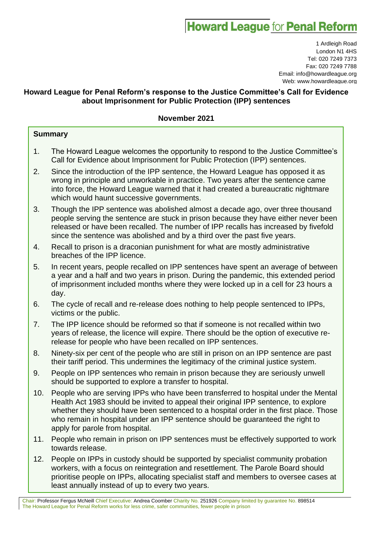# **Howard League for Penal Reform**

1 Ardleigh Road London N1 4HS Tel: 020 7249 7373 Fax: 020 7249 7788 Email: info@howardleague.org Web: www.howardleague.org

# **Howard League for Penal Reform's response to the Justice Committee's Call for Evidence about Imprisonment for Public Protection (IPP) sentences**

# **November 2021**

# **Summary**

- 1. The Howard League welcomes the opportunity to respond to the Justice Committee's Call for Evidence about Imprisonment for Public Protection (IPP) sentences.
- 2. Since the introduction of the IPP sentence, the Howard League has opposed it as wrong in principle and unworkable in practice. Two years after the sentence came into force, the Howard League warned that it had created a bureaucratic nightmare which would haunt successive governments.
- 3. Though the IPP sentence was abolished almost a decade ago, over three thousand people serving the sentence are stuck in prison because they have either never been released or have been recalled. The number of IPP recalls has increased by fivefold since the sentence was abolished and by a third over the past five years.
- 4. Recall to prison is a draconian punishment for what are mostly administrative breaches of the IPP licence.
- 5. In recent years, people recalled on IPP sentences have spent an average of between a year and a half and two years in prison. During the pandemic, this extended period of imprisonment included months where they were locked up in a cell for 23 hours a day.
- 6. The cycle of recall and re-release does nothing to help people sentenced to IPPs, victims or the public.
- 7. The IPP licence should be reformed so that if someone is not recalled within two years of release, the licence will expire. There should be the option of executive rerelease for people who have been recalled on IPP sentences.
- 8. Ninety-six per cent of the people who are still in prison on an IPP sentence are past their tariff period. This undermines the legitimacy of the criminal justice system.
- 9. People on IPP sentences who remain in prison because they are seriously unwell should be supported to explore a transfer to hospital.
- 10. People who are serving IPPs who have been transferred to hospital under the Mental Health Act 1983 should be invited to appeal their original IPP sentence, to explore whether they should have been sentenced to a hospital order in the first place. Those who remain in hospital under an IPP sentence should be guaranteed the right to apply for parole from hospital.
- 11. People who remain in prison on IPP sentences must be effectively supported to work towards release.
- 12. People on IPPs in custody should be supported by specialist community probation workers, with a focus on reintegration and resettlement. The Parole Board should prioritise people on IPPs, allocating specialist staff and members to oversee cases at least annually instead of up to every two years.

Chair: Professor Fergus McNeill Chief Executive: Andrea Coomber Charity No. 251926 Company limited by guarantee No. 898514 The Howard League for Penal Reform works for less crime, safer communities, fewer people in prison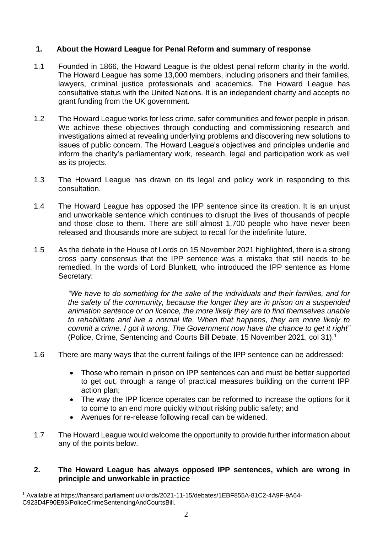# **1. About the Howard League for Penal Reform and summary of response**

- 1.1 Founded in 1866, the Howard League is the oldest penal reform charity in the world. The Howard League has some 13,000 members, including prisoners and their families, lawyers, criminal justice professionals and academics. The Howard League has consultative status with the United Nations. It is an independent charity and accepts no grant funding from the UK government.
- 1.2 The Howard League works for less crime, safer communities and fewer people in prison. We achieve these objectives through conducting and commissioning research and investigations aimed at revealing underlying problems and discovering new solutions to issues of public concern. The Howard League's objectives and principles underlie and inform the charity's parliamentary work, research, legal and participation work as well as its projects.
- 1.3 The Howard League has drawn on its legal and policy work in responding to this consultation.
- 1.4 The Howard League has opposed the IPP sentence since its creation. It is an unjust and unworkable sentence which continues to disrupt the lives of thousands of people and those close to them. There are still almost 1,700 people who have never been released and thousands more are subject to recall for the indefinite future.
- 1.5 As the debate in the House of Lords on 15 November 2021 highlighted, there is a strong cross party consensus that the IPP sentence was a mistake that still needs to be remedied. In the words of Lord Blunkett, who introduced the IPP sentence as Home Secretary:

*"We have to do something for the sake of the individuals and their families, and for the safety of the community, because the longer they are in prison on a suspended animation sentence or on licence, the more likely they are to find themselves unable to rehabilitate and live a normal life. When that happens, they are more likely to commit a crime. I got it wrong. The Government now have the chance to get it right"* (Police, Crime, Sentencing and Courts Bill Debate, 15 November 2021, col 31).<sup>1</sup>

- 1.6 There are many ways that the current failings of the IPP sentence can be addressed:
	- Those who remain in prison on IPP sentences can and must be better supported to get out, through a range of practical measures building on the current IPP action plan;
	- The way the IPP licence operates can be reformed to increase the options for it to come to an end more quickly without risking public safety; and
	- Avenues for re-release following recall can be widened.
- 1.7 The Howard League would welcome the opportunity to provide further information about any of the points below.

# **2. The Howard League has always opposed IPP sentences, which are wrong in principle and unworkable in practice**

<sup>1</sup> Available at https://hansard.parliament.uk/lords/2021-11-15/debates/1EBF855A-81C2-4A9F-9A64- C923D4F90E93/PoliceCrimeSentencingAndCourtsBill.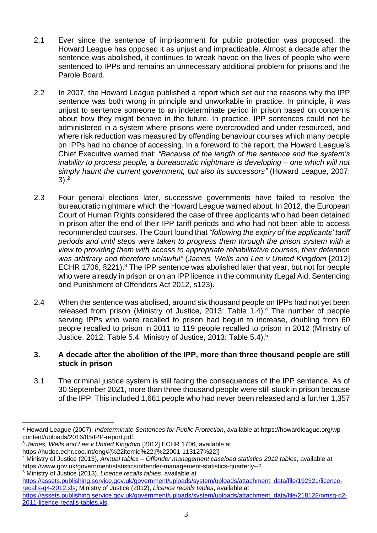- 2.1 Ever since the sentence of imprisonment for public protection was proposed, the Howard League has opposed it as unjust and impracticable. Almost a decade after the sentence was abolished, it continues to wreak havoc on the lives of people who were sentenced to IPPs and remains an unnecessary additional problem for prisons and the Parole Board.
- 2.2 In 2007, the Howard League published a report which set out the reasons why the IPP sentence was both wrong in principle and unworkable in practice. In principle, it was unjust to sentence someone to an indeterminate period in prison based on concerns about how they might behave in the future. In practice, IPP sentences could not be administered in a system where prisons were overcrowded and under-resourced, and where risk reduction was measured by offending behaviour courses which many people on IPPs had no chance of accessing. In a foreword to the report, the Howard League's Chief Executive warned that: *"Because of the length of the sentence and the system's inability to process people, a bureaucratic nightmare is developing – one which will not simply haunt the current government, but also its successors"* (Howard League, 2007:  $3)$ <sup>2</sup>
- 2.3 Four general elections later, successive governments have failed to resolve the bureaucratic nightmare which the Howard League warned about. In 2012, the European Court of Human Rights considered the case of three applicants who had been detained in prison after the end of their IPP tariff periods and who had not been able to access recommended courses. The Court found that *"following the expiry of the applicants' tariff periods and until steps were taken to progress them through the prison system with a view to providing them with access to appropriate rehabilitative courses, their detention was arbitrary and therefore unlawful"* (*James, Wells and Lee v United Kingdom* [2012] ECHR 1706, §221).<sup>3</sup> The IPP sentence was abolished later that year, but not for people who were already in prison or on an IPP licence in the community (Legal Aid, Sentencing and Punishment of Offenders Act 2012, s123).
- 2.4 When the sentence was abolised, around six thousand people on IPPs had not yet been released from prison (Ministry of Justice, 2013: Table 1.4).<sup>4</sup> The number of people serving IPPs who were recalled to prison had begun to increase, doubling from 60 people recalled to prison in 2011 to 119 people recalled to prison in 2012 (Ministry of Justice, 2012: Table 5.4; Ministry of Justice, 2013: Table 5.4).<sup>5</sup>

## **3. A decade after the abolition of the IPP, more than three thousand people are still stuck in prison**

3.1 The criminal justice system is still facing the consequences of the IPP sentence. As of 30 September 2021, more than three thousand people were still stuck in prison because of the IPP. This included 1,661 people who had never been released and a further 1,357

<sup>5</sup> Ministry of Justice (2013), *Licence recalls tables*, available at

<sup>2</sup> Howard League (2007), *Indeterminate Sentences for Public Protection*, available at https://howardleague.org/wpcontent/uploads/2016/05/IPP-report.pdf.

<sup>3</sup> *James, Wells and Lee v United Kingdom* [2012] ECHR 1706, available at

https://hudoc.echr.coe.int/eng#{%22itemid%22:[%22001-113127%22]}

<sup>4</sup> Ministry of Justice (2013), *Annual tables – Offender management caseload statistics 2012 tables*, available at https://www.gov.uk/government/statistics/offender-management-statistics-quarterly--2.

[https://assets.publishing.service.gov.uk/government/uploads/system/uploads/attachment\\_data/file/192321/licence](https://assets.publishing.service.gov.uk/government/uploads/system/uploads/attachment_data/file/192321/licence-recalls-q4-2012.xls)[recalls-q4-2012.xls;](https://assets.publishing.service.gov.uk/government/uploads/system/uploads/attachment_data/file/192321/licence-recalls-q4-2012.xls) Ministry of Justice (2012), *Licence recalls tables*, available at [https://assets.publishing.service.gov.uk/government/uploads/system/uploads/attachment\\_data/file/218128/omsq-q2-](https://assets.publishing.service.gov.uk/government/uploads/system/uploads/attachment_data/file/218128/omsq-q2-2011-licence-recalls-tables.xls) [2011-licence-recalls-tables.xls.](https://assets.publishing.service.gov.uk/government/uploads/system/uploads/attachment_data/file/218128/omsq-q2-2011-licence-recalls-tables.xls)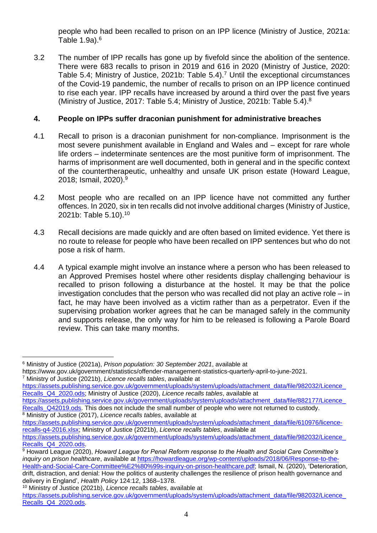people who had been recalled to prison on an IPP licence (Ministry of Justice, 2021a: Table 1.9a).<sup>6</sup>

3.2 The number of IPP recalls has gone up by fivefold since the abolition of the sentence. There were 683 recalls to prison in 2019 and 616 in 2020 (Ministry of Justice, 2020: Table 5.4; Ministry of Justice, 2021b: Table 5.4).<sup>7</sup> Until the exceptional circumstances of the Covid-19 pandemic, the number of recalls to prison on an IPP licence continued to rise each year. IPP recalls have increased by around a third over the past five years (Ministry of Justice, 2017: Table 5.4; Ministry of Justice, 2021b: Table 5.4).<sup>8</sup>

# **4. People on IPPs suffer draconian punishment for administrative breaches**

- 4.1 Recall to prison is a draconian punishment for non-compliance. Imprisonment is the most severe punishment available in England and Wales and – except for rare whole life orders – indeterminate sentences are the most punitive form of imprisonment. The harms of imprisonment are well documented, both in general and in the specific context of the countertherapeutic, unhealthy and unsafe UK prison estate (Howard League, 2018; Ismail, 2020). 9
- 4.2 Most people who are recalled on an IPP licence have not committed any further offences. In 2020, six in ten recalls did not involve additional charges (Ministry of Justice, 2021b: Table 5.10).<sup>10</sup>
- 4.3 Recall decisions are made quickly and are often based on limited evidence. Yet there is no route to release for people who have been recalled on IPP sentences but who do not pose a risk of harm.
- 4.4 A typical example might involve an instance where a person who has been released to an Approved Premises hostel where other residents display challenging behaviour is recalled to prison following a disturbance at the hostel. It may be that the police investigation concludes that the person who was recalled did not play an active role – in fact, he may have been involved as a victim rather than as a perpetrator. Even if the supervising probation worker agrees that he can be managed safely in the community and supports release, the only way for him to be released is following a Parole Board review. This can take many months.

[https://assets.publishing.service.gov.uk/government/uploads/system/uploads/attachment\\_data/file/982032/Licence\\_](https://assets.publishing.service.gov.uk/government/uploads/system/uploads/attachment_data/file/982032/Licence_Recalls_Q4_2020.ods) [Recalls\\_Q4\\_2020.ods;](https://assets.publishing.service.gov.uk/government/uploads/system/uploads/attachment_data/file/982032/Licence_Recalls_Q4_2020.ods) Ministry of Justice (2020), *Licence recalls tables*, available at

[https://assets.publishing.service.gov.uk/government/uploads/system/uploads/attachment\\_data/file/882177/Licence\\_](https://assets.publishing.service.gov.uk/government/uploads/system/uploads/attachment_data/file/882177/Licence_Recalls_Q42019.ods) [Recalls\\_Q42019.ods.](https://assets.publishing.service.gov.uk/government/uploads/system/uploads/attachment_data/file/882177/Licence_Recalls_Q42019.ods) This does not include the small number of people who were not returned to custody. <sup>8</sup> Ministry of Justice (2017), *Licence recalls tables*, available at

<sup>6</sup> Ministry of Justice (2021a), *Prison population: 30 September 2021*, available at https://www.gov.uk/government/statistics/offender-management-statistics-quarterly-april-to-june-2021. <sup>7</sup> Ministry of Justice (2021b), *Licence recalls tables*, available at

[https://assets.publishing.service.gov.uk/government/uploads/system/uploads/attachment\\_data/file/610976/licence](https://assets.publishing.service.gov.uk/government/uploads/system/uploads/attachment_data/file/610976/licence-recalls-q4-2016.xlsx)[recalls-q4-2016.xlsx;](https://assets.publishing.service.gov.uk/government/uploads/system/uploads/attachment_data/file/610976/licence-recalls-q4-2016.xlsx) Ministry of Justice (2021b), *Licence recalls tables*, available at https://assets.publishing.service.gov.uk/government/uploads/system/uploads/attachment\_data/file/982032/Licence

[Recalls\\_Q4\\_2020.ods.](https://assets.publishing.service.gov.uk/government/uploads/system/uploads/attachment_data/file/982032/Licence_Recalls_Q4_2020.ods)

<sup>9</sup> Howard League (2020), *Howard League for Penal Reform response to the Health and Social Care Committee's inquiry on prison healthcare*, available at [https://howardleague.org/wp-content/uploads/2018/06/Response-to-the-](https://howardleague.org/wp-content/uploads/2018/06/Response-to-the-Health-and-Social-Care-Committee%E2%80%99s-inquiry-on-prison-healthcare.pdf)[Health-and-Social-Care-Committee%E2%80%99s-inquiry-on-prison-healthcare.pdf;](https://howardleague.org/wp-content/uploads/2018/06/Response-to-the-Health-and-Social-Care-Committee%E2%80%99s-inquiry-on-prison-healthcare.pdf) Ismail, N. (2020), 'Deterioration, drift, distraction, and denial: How the politics of austerity challenges the resilience of prison health governance and delivery in England', *Health Policy* 124:12, 1368–1378.

<sup>10</sup> Ministry of Justice (2021b), *Licence recalls tables*, available at

[https://assets.publishing.service.gov.uk/government/uploads/system/uploads/attachment\\_data/file/982032/Licence\\_](https://assets.publishing.service.gov.uk/government/uploads/system/uploads/attachment_data/file/982032/Licence_Recalls_Q4_2020.ods) [Recalls\\_Q4\\_2020.ods.](https://assets.publishing.service.gov.uk/government/uploads/system/uploads/attachment_data/file/982032/Licence_Recalls_Q4_2020.ods)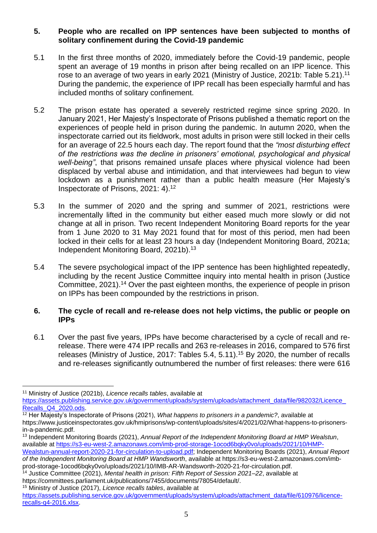## **5. People who are recalled on IPP sentences have been subjected to months of solitary confinement during the Covid-19 pandemic**

- 5.1 In the first three months of 2020, immediately before the Covid-19 pandemic, people spent an average of 19 months in prison after being recalled on an IPP licence. This rose to an average of two years in early 2021 (Ministry of Justice, 2021b: Table 5.21).<sup>11</sup> During the pandemic, the experience of IPP recall has been especially harmful and has included months of solitary confinement.
- 5.2 The prison estate has operated a severely restricted regime since spring 2020. In January 2021, Her Majesty's Inspectorate of Prisons published a thematic report on the experiences of people held in prison during the pandemic. In autumn 2020, when the inspectorate carried out its fieldwork, most adults in prison were still locked in their cells for an average of 22.5 hours each day. The report found that the *"most disturbing effect of the restrictions was the decline in prisoners' emotional, psychological and physical well-being"*, that prisons remained unsafe places where physical violence had been displaced by verbal abuse and intimidation, and that interviewees had begun to view lockdown as a punishment rather than a public health measure (Her Majesty's Inspectorate of Prisons, 2021: 4).<sup>12</sup>
- 5.3 In the summer of 2020 and the spring and summer of 2021, restrictions were incrementally lifted in the community but either eased much more slowly or did not change at all in prison. Two recent Independent Monitoring Board reports for the year from 1 June 2020 to 31 May 2021 found that for most of this period, men had been locked in their cells for at least 23 hours a day (Independent Monitoring Board, 2021a; Independent Monitoring Board, 2021b). 13
- 5.4 The severe psychological impact of the IPP sentence has been highlighted repeatedly, including by the recent Justice Committee inquiry into mental health in prison (Justice Committee, 2021).<sup>14</sup> Over the past eighteen months, the experience of people in prison on IPPs has been compounded by the restrictions in prison.

#### **6. The cycle of recall and re-release does not help victims, the public or people on IPPs**

6.1 Over the past five years, IPPs have become characterised by a cycle of recall and rerelease. There were 474 IPP recalls and 263 re-releases in 2016, compared to 576 first releases (Ministry of Justice, 2017: Tables 5.4, 5.11). <sup>15</sup> By 2020, the number of recalls and re-releases significantly outnumbered the number of first releases: there were 616

[Wealstun-annual-report-2020-21-for-circulation-to-upload.pdf;](https://s3-eu-west-2.amazonaws.com/imb-prod-storage-1ocod6bqky0vo/uploads/2021/10/HMP-Wealstun-annual-report-2020-21-for-circulation-to-upload.pdf) Independent Monitoring Boards (2021), *Annual Report of the Independent Monitoring Board at HMP Wandsworth*, available at https://s3-eu-west-2.amazonaws.com/imbprod-storage-1ocod6bqky0vo/uploads/2021/10/IMB-AR-Wandsworth-2020-21-for-circulation.pdf.

<sup>14</sup> Justice Committee (2021), *Mental health in prison: Fifth Report of Session 2021–22*, available at https://committees.parliament.uk/publications/7455/documents/78054/default/.

<sup>15</sup> Ministry of Justice (2017), *Licence recalls tables*, available at

<sup>11</sup> Ministry of Justice (2021b), *Licence recalls tables*, available at

https://assets.publishing.service.gov.uk/government/uploads/system/uploads/attachment\_data/file/982032/Licence [Recalls\\_Q4\\_2020.ods.](https://assets.publishing.service.gov.uk/government/uploads/system/uploads/attachment_data/file/982032/Licence_Recalls_Q4_2020.ods)

<sup>12</sup> Her Majesty's Inspectorate of Prisons (2021), *What happens to prisoners in a pandemic?*, available at https://www.justiceinspectorates.gov.uk/hmiprisons/wp-content/uploads/sites/4/2021/02/What-happens-to-prisonersin-a-pandemic.pdf.

<sup>13</sup> Independent Monitoring Boards (2021), *Annual Report of the Independent Monitoring Board at HMP Wealstun*, available at [https://s3-eu-west-2.amazonaws.com/imb-prod-storage-1ocod6bqky0vo/uploads/2021/10/HMP-](https://s3-eu-west-2.amazonaws.com/imb-prod-storage-1ocod6bqky0vo/uploads/2021/10/HMP-Wealstun-annual-report-2020-21-for-circulation-to-upload.pdf)

[https://assets.publishing.service.gov.uk/government/uploads/system/uploads/attachment\\_data/file/610976/licence](https://assets.publishing.service.gov.uk/government/uploads/system/uploads/attachment_data/file/610976/licence-recalls-q4-2016.xlsx)[recalls-q4-2016.xlsx.](https://assets.publishing.service.gov.uk/government/uploads/system/uploads/attachment_data/file/610976/licence-recalls-q4-2016.xlsx)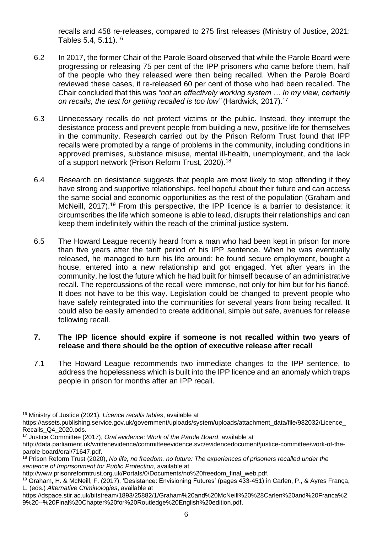recalls and 458 re-releases, compared to 275 first releases (Ministry of Justice, 2021: Tables 5.4, 5.11). 16

- 6.2 In 2017, the former Chair of the Parole Board observed that while the Parole Board were progressing or releasing 75 per cent of the IPP prisoners who came before them, half of the people who they released were then being recalled. When the Parole Board reviewed these cases, it re-released 60 per cent of those who had been recalled. The Chair concluded that this was *"not an effectively working system … In my view, certainly on recalls, the test for getting recalled is too low"* (Hardwick, 2017).<sup>17</sup>
- 6.3 Unnecessary recalls do not protect victims or the public. Instead, they interrupt the desistance process and prevent people from building a new, positive life for themselves in the community. Research carried out by the Prison Reform Trust found that IPP recalls were prompted by a range of problems in the community, including conditions in approved premises, substance misuse, mental ill-health, unemployment, and the lack of a support network (Prison Reform Trust, 2020).<sup>18</sup>
- 6.4 Research on desistance suggests that people are most likely to stop offending if they have strong and supportive relationships, feel hopeful about their future and can access the same social and economic opportunities as the rest of the population (Graham and McNeill, 2017).<sup>19</sup> From this perspective, the IPP licence is a barrier to desistance: it circumscribes the life which someone is able to lead, disrupts their relationships and can keep them indefinitely within the reach of the criminal justice system.
- 6.5 The Howard League recently heard from a man who had been kept in prison for more than five years after the tariff period of his IPP sentence. When he was eventually released, he managed to turn his life around: he found secure employment, bought a house, entered into a new relationship and got engaged. Yet after years in the community, he lost the future which he had built for himself because of an administrative recall. The repercussions of the recall were immense, not only for him but for his fiancé. It does not have to be this way. Legislation could be changed to prevent people who have safely reintegrated into the communities for several years from being recalled. It could also be easily amended to create additional, simple but safe, avenues for release following recall.

# **7. The IPP licence should expire if someone is not recalled within two years of release and there should be the option of executive release after recall**

7.1 The Howard League recommends two immediate changes to the IPP sentence, to address the hopelessness which is built into the IPP licence and an anomaly which traps people in prison for months after an IPP recall.

<sup>17</sup> Justice Committee (2017), *Oral evidence: Work of the Parole Board*, available at

<sup>16</sup> Ministry of Justice (2021), *Licence recalls tables*, available at

https://assets.publishing.service.gov.uk/government/uploads/system/uploads/attachment\_data/file/982032/Licence Recalls\_Q4\_2020.ods.

http://data.parliament.uk/writtenevidence/committeeevidence.svc/evidencedocument/justice-committee/work-of-theparole-board/oral/71647.pdf.

<sup>18</sup> Prison Reform Trust (2020), *No life, no freedom, no future: The experiences of prisoners recalled under the sentence of Imprisonment for Public Protection*, available at

http://www.prisonreformtrust.org.uk/Portals/0/Documents/no%20freedom\_final\_web.pdf.

<sup>19</sup> Graham, H. & McNeill, F. (2017), 'Desistance: Envisioning Futures' (pages 433-451) in Carlen, P., & Ayres França, L. (eds.) *Alternative Criminologies*, available at

https://dspace.stir.ac.uk/bitstream/1893/25882/1/Graham%20and%20McNeill%20%28Carlen%20and%20Franca%2 9%20--%20Final%20Chapter%20for%20Routledge%20English%20edition.pdf.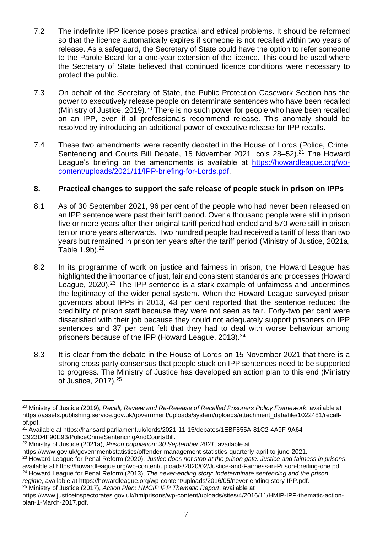- 7.2 The indefinite IPP licence poses practical and ethical problems. It should be reformed so that the licence automatically expires if someone is not recalled within two years of release. As a safeguard, the Secretary of State could have the option to refer someone to the Parole Board for a one-year extension of the licence. This could be used where the Secretary of State believed that continued licence conditions were necessary to protect the public.
- 7.3 On behalf of the Secretary of State, the Public Protection Casework Section has the power to executively release people on determinate sentences who have been recalled (Ministry of Justice, 2019).<sup>20</sup> There is no such power for people who have been recalled on an IPP, even if all professionals recommend release. This anomaly should be resolved by introducing an additional power of executive release for IPP recalls.
- 7.4 These two amendments were recently debated in the House of Lords (Police, Crime, Sentencing and Courts Bill Debate, 15 November 2021, cols 28–52).<sup>21</sup> The Howard League's briefing on the amendments is available at [https://howardleague.org/wp](https://howardleague.org/wp-content/uploads/2021/11/IPP-briefing-for-Lords.pdf)[content/uploads/2021/11/IPP-briefing-for-Lords.pdf.](https://howardleague.org/wp-content/uploads/2021/11/IPP-briefing-for-Lords.pdf)

# **8. Practical changes to support the safe release of people stuck in prison on IPPs**

- 8.1 As of 30 September 2021, 96 per cent of the people who had never been released on an IPP sentence were past their tariff period. Over a thousand people were still in prison five or more years after their original tariff period had ended and 570 were still in prison ten or more years afterwards. Two hundred people had received a tariff of less than two years but remained in prison ten years after the tariff period (Ministry of Justice, 2021a, Table  $1.9b$ ).  $22$
- 8.2 In its programme of work on justice and fairness in prison, the Howard League has highlighted the importance of just, fair and consistent standards and processes (Howard League, 2020).<sup>23</sup> The IPP sentence is a stark example of unfairness and undermines the legitimacy of the wider penal system. When the Howard League surveyed prison governors about IPPs in 2013, 43 per cent reported that the sentence reduced the credibility of prison staff because they were not seen as fair. Forty-two per cent were dissatisfied with their job because they could not adequately support prisoners on IPP sentences and 37 per cent felt that they had to deal with worse behaviour among prisoners because of the IPP (Howard League, 2013).<sup>24</sup>
- 8.3 It is clear from the debate in the House of Lords on 15 November 2021 that there is a strong cross party consensus that people stuck on IPP sentences need to be supported to progress. The Ministry of Justice has developed an action plan to this end (Ministry of Justice, 2017).<sup>25</sup>

<sup>25</sup> Ministry of Justice (2017), *Action Plan: HMCIP IPP Thematic Report*, available at

<sup>20</sup> Ministry of Justice (2019), *Recall, Review and Re-Release of Recalled Prisoners Policy Framework*, available at https://assets.publishing.service.gov.uk/government/uploads/system/uploads/attachment\_data/file/1022481/recallpf.pdf.

<sup>&</sup>lt;sup>21</sup> Available at https://hansard.parliament.uk/lords/2021-11-15/debates/1EBF855A-81C2-4A9F-9A64-C923D4F90E93/PoliceCrimeSentencingAndCourtsBill.

<sup>22</sup> Ministry of Justice (2021a), *Prison population: 30 September 2021*, available at

https://www.gov.uk/government/statistics/offender-management-statistics-quarterly-april-to-june-2021.

<sup>23</sup> Howard League for Penal Reform (2020), *Justice does not stop at the prison gate: Justice and fairness in prisons*, available at https://howardleague.org/wp-content/uploads/2020/02/Justice-and-Fairness-in-Prison-breifing-one.pdf <sup>24</sup> Howard League for Penal Reform (2013), *The never-ending story: Indeterminate sentencing and the prison regime*, available at https://howardleague.org/wp-content/uploads/2016/05/never-ending-story-IPP.pdf.

https://www.justiceinspectorates.gov.uk/hmiprisons/wp-content/uploads/sites/4/2016/11/HMIP-IPP-thematic-actionplan-1-March-2017.pdf.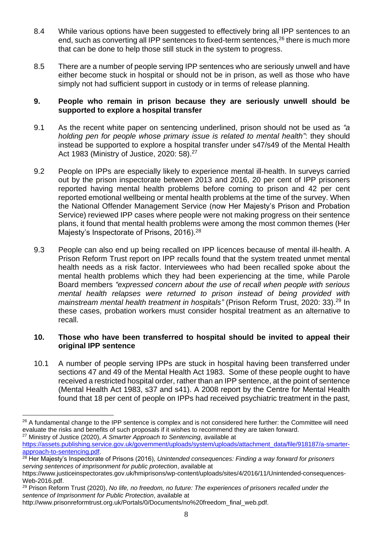- 8.4 While various options have been suggested to effectively bring all IPP sentences to an end, such as converting all IPP sentences to fixed-term sentences, <sup>26</sup> there is much more that can be done to help those still stuck in the system to progress.
- 8.5 There are a number of people serving IPP sentences who are seriously unwell and have either become stuck in hospital or should not be in prison, as well as those who have simply not had sufficient support in custody or in terms of release planning.

## **9. People who remain in prison because they are seriously unwell should be supported to explore a hospital transfer**

- 9.1 As the recent white paper on sentencing underlined, prison should not be used as *"a holding pen for people whose primary issue is related to mental health"*: they should instead be supported to explore a hospital transfer under s47/s49 of the Mental Health Act 1983 (Ministry of Justice, 2020: 58). 27
- 9.2 People on IPPs are especially likely to experience mental ill-health. In surveys carried out by the prison inspectorate between 2013 and 2016, 20 per cent of IPP prisoners reported having mental health problems before coming to prison and 42 per cent reported emotional wellbeing or mental health problems at the time of the survey. When the National Offender Management Service (now Her Majesty's Prison and Probation Service) reviewed IPP cases where people were not making progress on their sentence plans, it found that mental health problems were among the most common themes (Her Majesty's Inspectorate of Prisons, 2016).<sup>28</sup>
- 9.3 People can also end up being recalled on IPP licences because of mental ill-health. A Prison Reform Trust report on IPP recalls found that the system treated unmet mental health needs as a risk factor. Interviewees who had been recalled spoke about the mental health problems which they had been experiencing at the time, while Parole Board members *"expressed concern about the use of recall when people with serious mental health relapses were returned to prison instead of being provided with mainstream mental health treatment in hospitals"* (Prison Reform Trust, 2020: 33).<sup>29</sup> In these cases, probation workers must consider hospital treatment as an alternative to recall.

## **10. Those who have been transferred to hospital should be invited to appeal their original IPP sentence**

10.1 A number of people serving IPPs are stuck in hospital having been transferred under sections 47 and 49 of the Mental Health Act 1983. Some of these people ought to have received a restricted hospital order, rather than an IPP sentence, at the point of sentence (Mental Health Act 1983, s37 and s41). A 2008 report by the Centre for Mental Health found that 18 per cent of people on IPPs had received psychiatric treatment in the past,

<sup>&</sup>lt;sup>26</sup> A fundamental change to the IPP sentence is complex and is not considered here further: the Committee will need evaluate the risks and benefits of such proposals if it wishes to recommend they are taken forward. <sup>27</sup> Ministry of Justice (2020), *A Smarter Approach to Sentencing*, available at

[https://assets.publishing.service.gov.uk/government/uploads/system/uploads/attachment\\_data/file/918187/a-smarter](https://assets.publishing.service.gov.uk/government/uploads/system/uploads/attachment_data/file/918187/a-smarter-approach-to-sentencing.pdf)[approach-to-sentencing.pdf.](https://assets.publishing.service.gov.uk/government/uploads/system/uploads/attachment_data/file/918187/a-smarter-approach-to-sentencing.pdf)

<sup>28</sup> Her Majesty's Inspectorate of Prisons (2016), *Unintended consequences: Finding a way forward for prisoners serving sentences of imprisonment for public protection*, available at

https://www.justiceinspectorates.gov.uk/hmiprisons/wp-content/uploads/sites/4/2016/11/Unintended-consequences-Web-2016.pdf.

<sup>29</sup> Prison Reform Trust (2020), *No life, no freedom, no future: The experiences of prisoners recalled under the sentence of Imprisonment for Public Protection*, available at

http://www.prisonreformtrust.org.uk/Portals/0/Documents/no%20freedom\_final\_web.pdf.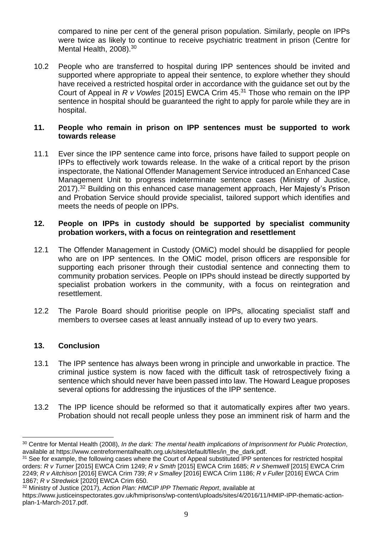compared to nine per cent of the general prison population. Similarly, people on IPPs were twice as likely to continue to receive psychiatric treatment in prison (Centre for Mental Health, 2008).<sup>30</sup>

10.2 People who are transferred to hospital during IPP sentences should be invited and supported where appropriate to appeal their sentence, to explore whether they should have received a restricted hospital order in accordance with the guidance set out by the Court of Appeal in *R v Vowles* [2015] EWCA Crim 45. <sup>31</sup> Those who remain on the IPP sentence in hospital should be guaranteed the right to apply for parole while they are in hospital.

## **11. People who remain in prison on IPP sentences must be supported to work towards release**

11.1 Ever since the IPP sentence came into force, prisons have failed to support people on IPPs to effectively work towards release. In the wake of a critical report by the prison inspectorate, the National Offender Management Service introduced an Enhanced Case Management Unit to progress indeterminate sentence cases (Ministry of Justice, 2017).<sup>32</sup> Building on this enhanced case management approach, Her Majesty's Prison and Probation Service should provide specialist, tailored support which identifies and meets the needs of people on IPPs.

## **12. People on IPPs in custody should be supported by specialist community probation workers, with a focus on reintegration and resettlement**

- 12.1 The Offender Management in Custody (OMiC) model should be disapplied for people who are on IPP sentences. In the OMiC model, prison officers are responsible for supporting each prisoner through their custodial sentence and connecting them to community probation services. People on IPPs should instead be directly supported by specialist probation workers in the community, with a focus on reintegration and resettlement.
- 12.2 The Parole Board should prioritise people on IPPs, allocating specialist staff and members to oversee cases at least annually instead of up to every two years.

# **13. Conclusion**

- 13.1 The IPP sentence has always been wrong in principle and unworkable in practice. The criminal justice system is now faced with the difficult task of retrospectively fixing a sentence which should never have been passed into law. The Howard League proposes several options for addressing the injustices of the IPP sentence.
- 13.2 The IPP licence should be reformed so that it automatically expires after two years. Probation should not recall people unless they pose an imminent risk of harm and the

<sup>30</sup> Centre for Mental Health (2008), *In the dark: The mental health implications of Imprisonment for Public Protection*, available at https://www.centreformentalhealth.org.uk/sites/default/files/in\_the\_dark.pdf.

<sup>&</sup>lt;sup>31</sup> See for example, the following cases where the Court of Appeal substituted IPP sentences for restricted hospital orders: *R v Turner* [2015] EWCA Crim 1249; *R v Smith* [2015] EWCA Crim 1685; *R v Shemwell* [2015] EWCA Crim 2249; *R v Aitchison* [2016] EWCA Crim 739; *R v Smalley* [2016] EWCA Crim 1186; *R v Fuller* [2016] EWCA Crim 1867; *R v Stredwick* [2020] EWCA Crim 650.

<sup>32</sup> Ministry of Justice (2017), *Action Plan: HMCIP IPP Thematic Report*, available at

https://www.justiceinspectorates.gov.uk/hmiprisons/wp-content/uploads/sites/4/2016/11/HMIP-IPP-thematic-actionplan-1-March-2017.pdf.